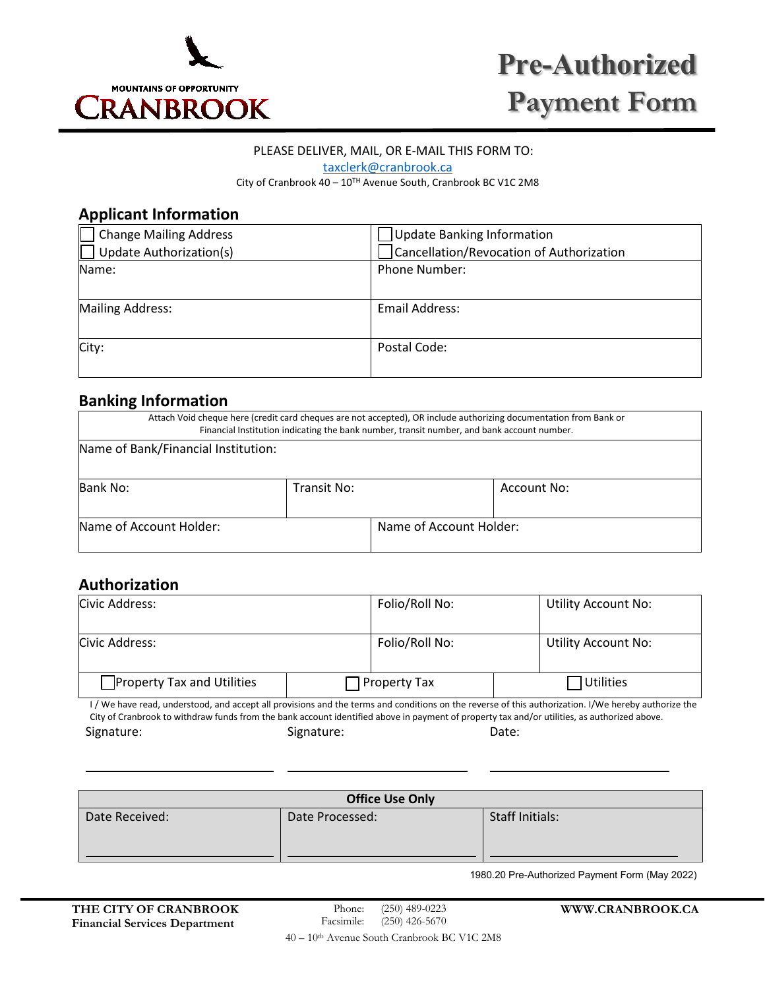

# **Pre-Authorized Payment Form**

### PLEASE DELIVER, MAIL, OR E-MAIL THIS FORM TO:

[taxclerk@cranbrook.ca](mailto:taxclerk@cranbrook.ca)

City of Cranbrook 40 – 10TH Avenue South, Cranbrook BC V1C 2M8

## **Applicant Information**

| <b>Change Mailing Address</b>  | Update Banking Information               |  |
|--------------------------------|------------------------------------------|--|
| <b>Update Authorization(s)</b> | Cancellation/Revocation of Authorization |  |
| Name:                          | <b>Phone Number:</b>                     |  |
| <b>Mailing Address:</b>        | Email Address:                           |  |
| City:                          | Postal Code:                             |  |

## **Banking Information**

| Attach Void cheque here (credit card cheques are not accepted), OR include authorizing documentation from Bank or<br>Financial Institution indicating the bank number, transit number, and bank account number. |             |                         |             |  |
|-----------------------------------------------------------------------------------------------------------------------------------------------------------------------------------------------------------------|-------------|-------------------------|-------------|--|
| Name of Bank/Financial Institution:                                                                                                                                                                             |             |                         |             |  |
| Bank No:                                                                                                                                                                                                        | Transit No: |                         | Account No: |  |
| Name of Account Holder:                                                                                                                                                                                         |             | Name of Account Holder: |             |  |

## **Authorization**

| Civic Address:                    | Folio/Roll No: | <b>Utility Account No:</b>                                                                                                                           |
|-----------------------------------|----------------|------------------------------------------------------------------------------------------------------------------------------------------------------|
| Civic Address:                    | Folio/Roll No: | <b>Utility Account No:</b>                                                                                                                           |
| <b>Property Tax and Utilities</b> | Property Tax   | Utilities                                                                                                                                            |
|                                   |                | I / We have read, understood, and accept all provisions and the terms and conditions on the reverse of this authorization. I/We hereby authorize the |

City of Cranbrook to withdraw funds from the bank account identified above in payment of property tax and/or utilities, as authorized above. Signature: Contract Contract Contract Contract Contract Contract Contract Contract Contract Contract Contract Contract Contract Contract Contract Contract Contract Contract Contract Contract Contract Contract Contract Cont

| <b>Office Use Only</b> |                 |                        |  |  |  |
|------------------------|-----------------|------------------------|--|--|--|
| Date Received:         | Date Processed: | <b>Staff Initials:</b> |  |  |  |

1980.20 Pre-Authorized Payment Form (May 2022)